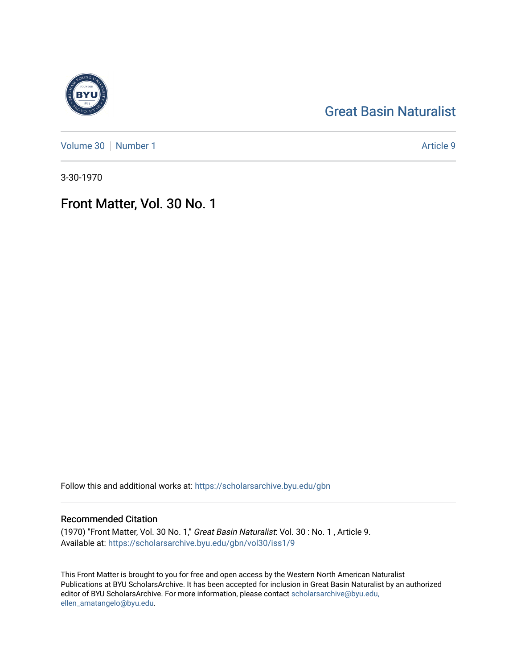## [Great Basin Naturalist](https://scholarsarchive.byu.edu/gbn)

[Volume 30](https://scholarsarchive.byu.edu/gbn/vol30) [Number 1](https://scholarsarchive.byu.edu/gbn/vol30/iss1) Article 9

3-30-1970

## Front Matter, Vol. 30 No. 1

Follow this and additional works at: [https://scholarsarchive.byu.edu/gbn](https://scholarsarchive.byu.edu/gbn?utm_source=scholarsarchive.byu.edu%2Fgbn%2Fvol30%2Fiss1%2F9&utm_medium=PDF&utm_campaign=PDFCoverPages) 

### Recommended Citation

(1970) "Front Matter, Vol. 30 No. 1," Great Basin Naturalist: Vol. 30 : No. 1 , Article 9. Available at: [https://scholarsarchive.byu.edu/gbn/vol30/iss1/9](https://scholarsarchive.byu.edu/gbn/vol30/iss1/9?utm_source=scholarsarchive.byu.edu%2Fgbn%2Fvol30%2Fiss1%2F9&utm_medium=PDF&utm_campaign=PDFCoverPages)

This Front Matter is brought to you for free and open access by the Western North American Naturalist Publications at BYU ScholarsArchive. It has been accepted for inclusion in Great Basin Naturalist by an authorized editor of BYU ScholarsArchive. For more information, please contact [scholarsarchive@byu.edu,](mailto:scholarsarchive@byu.edu,%20ellen_amatangelo@byu.edu) [ellen\\_amatangelo@byu.edu](mailto:scholarsarchive@byu.edu,%20ellen_amatangelo@byu.edu).

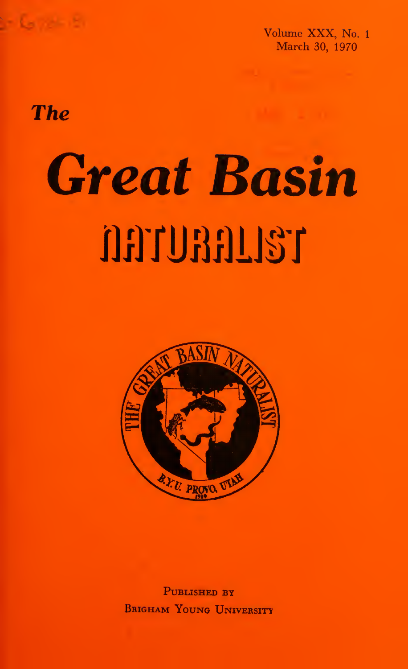

**The** 

# Great Basin **T&LIGGUTGI**



Published by Brigham Young UNrvERsiry